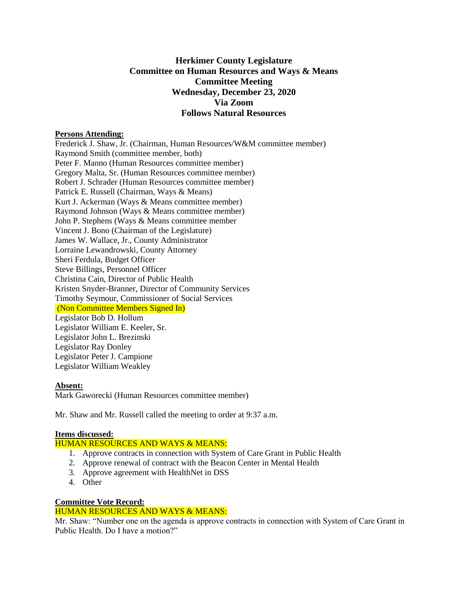# **Herkimer County Legislature Committee on Human Resources and Ways & Means Committee Meeting Wednesday, December 23, 2020 Via Zoom Follows Natural Resources**

#### **Persons Attending:**

Frederick J. Shaw, Jr. (Chairman, Human Resources/W&M committee member) Raymond Smith (committee member, both) Peter F. Manno (Human Resources committee member) Gregory Malta, Sr. (Human Resources committee member) Robert J. Schrader (Human Resources committee member) Patrick E. Russell (Chairman, Ways & Means) Kurt J. Ackerman (Ways & Means committee member) Raymond Johnson (Ways & Means committee member) John P. Stephens (Ways & Means committee member Vincent J. Bono (Chairman of the Legislature) James W. Wallace, Jr., County Administrator Lorraine Lewandrowski, County Attorney Sheri Ferdula, Budget Officer Steve Billings, Personnel Officer Christina Cain, Director of Public Health Kristen Snyder-Branner, Director of Community Services Timothy Seymour, Commissioner of Social Services (Non Committee Members Signed In) Legislator Bob D. Hollum Legislator William E. Keeler, Sr. Legislator John L. Brezinski Legislator Ray Donley Legislator Peter J. Campione Legislator William Weakley

### **Absent:**

Mark Gaworecki (Human Resources committee member)

Mr. Shaw and Mr. Russell called the meeting to order at 9:37 a.m.

### **Items discussed:**

## HUMAN RESOURCES AND WAYS & MEANS:

- 1. Approve contracts in connection with System of Care Grant in Public Health
- 2. Approve renewal of contract with the Beacon Center in Mental Health
- 3. Approve agreement with HealthNet in DSS
- 4. Other

### **Committee Vote Record:**

### HUMAN RESOURCES AND WAYS & MEANS:

Mr. Shaw: "Number one on the agenda is approve contracts in connection with System of Care Grant in Public Health. Do I have a motion?"